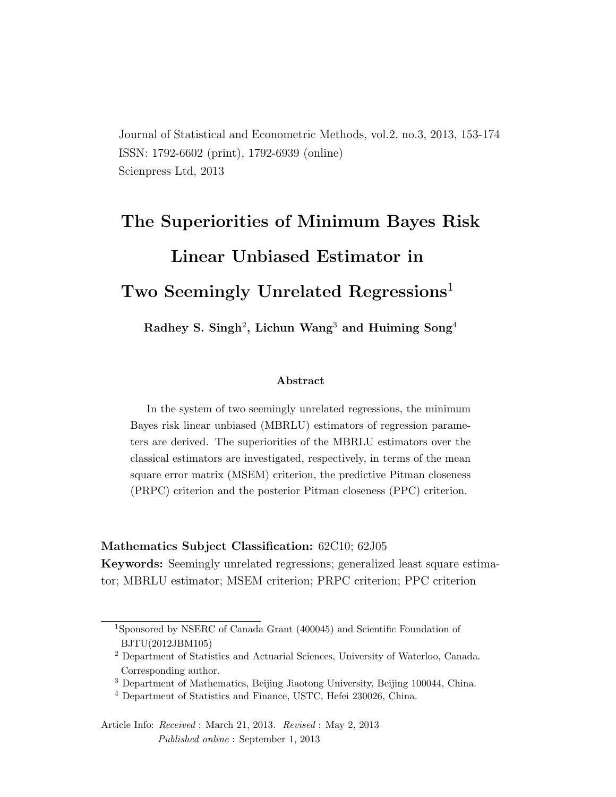Journal of Statistical and Econometric Methods, vol.2, no.3, 2013, 153-174 ISSN: 1792-6602 (print), 1792-6939 (online) Scienpress Ltd, 2013

# The Superiorities of Minimum Bayes Risk Linear Unbiased Estimator in Two Seemingly Unrelated Regressions<sup>1</sup>

Radhey S. Singh<sup>2</sup>, Lichun Wang<sup>3</sup> and Huiming Song<sup>4</sup>

#### Abstract

In the system of two seemingly unrelated regressions, the minimum Bayes risk linear unbiased (MBRLU) estimators of regression parameters are derived. The superiorities of the MBRLU estimators over the classical estimators are investigated, respectively, in terms of the mean square error matrix (MSEM) criterion, the predictive Pitman closeness (PRPC) criterion and the posterior Pitman closeness (PPC) criterion.

#### Mathematics Subject Classification: 62C10; 62J05

Keywords: Seemingly unrelated regressions; generalized least square estimator; MBRLU estimator; MSEM criterion; PRPC criterion; PPC criterion

<sup>1</sup>Sponsored by NSERC of Canada Grant (400045) and Scientific Foundation of BJTU(2012JBM105)

<sup>2</sup> Department of Statistics and Actuarial Sciences, University of Waterloo, Canada. Corresponding author.

<sup>&</sup>lt;sup>3</sup> Department of Mathematics, Beijing Jiaotong University, Beijing 100044, China.

<sup>4</sup> Department of Statistics and Finance, USTC, Hefei 230026, China.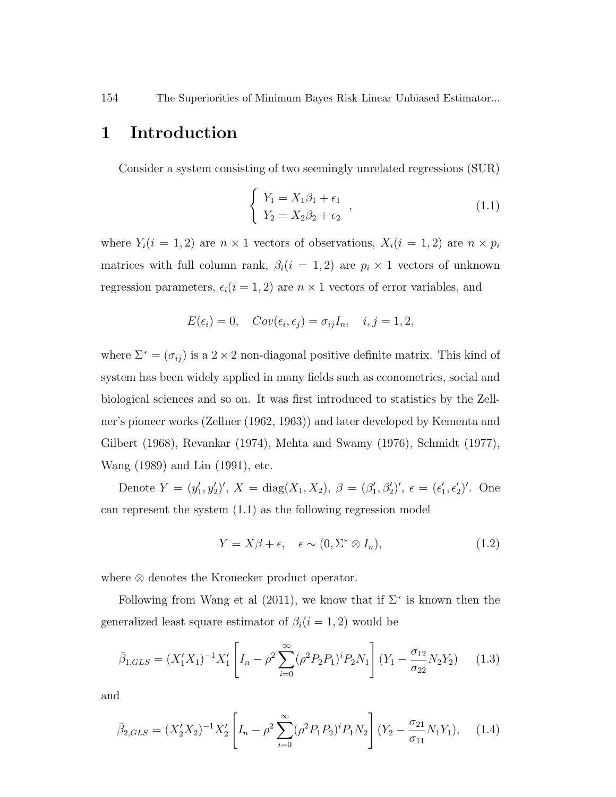### 1 Introduction

Consider a system consisting of two seemingly unrelated regressions (SUR)

$$
\begin{cases}\nY_1 = X_1 \beta_1 + \epsilon_1 \\
Y_2 = X_2 \beta_2 + \epsilon_2\n\end{cases},
$$
\n(1.1)

where  $Y_i(i = 1, 2)$  are  $n \times 1$  vectors of observations,  $X_i(i = 1, 2)$  are  $n \times p_i$ matrices with full column rank,  $\beta_i(i = 1, 2)$  are  $p_i \times 1$  vectors of unknown regression parameters,  $\epsilon_i(i = 1, 2)$  are  $n \times 1$  vectors of error variables, and

$$
E(\epsilon_i) = 0, \quad Cov(\epsilon_i, \epsilon_j) = \sigma_{ij} I_n, \quad i, j = 1, 2,
$$

where  $\Sigma^* = (\sigma_{ij})$  is a 2 × 2 non-diagonal positive definite matrix. This kind of system has been widely applied in many fields such as econometrics, social and biological sciences and so on. It was first introduced to statistics by the Zellner's pioneer works (Zellner (1962, 1963)) and later developed by Kementa and Gilbert (1968), Revankar (1974), Mehta and Swamy (1976), Schmidt (1977), Wang (1989) and Lin (1991), etc.

Denote  $Y = (y'_1, y'_2)'$ ,  $X = diag(X_1, X_2)$ ,  $\beta = (\beta'_1, \beta'_2)'$ ,  $\epsilon = (\epsilon'_1, \epsilon'_2)'$ . One can represent the system (1.1) as the following regression model

$$
Y = X\beta + \epsilon, \quad \epsilon \sim (0, \Sigma^* \otimes I_n), \tag{1.2}
$$

where ⊗ denotes the Kronecker product operator.

Following from Wang et al  $(2011)$ , we know that if  $\Sigma^*$  is known then the generalized least square estimator of  $\beta_i(i = 1, 2)$  would be

$$
\bar{\beta}_{1,GLS} = (X_1' X_1)^{-1} X_1' \left[ I_n - \rho^2 \sum_{i=0}^{\infty} (\rho^2 P_2 P_1)^i P_2 N_1 \right] (Y_1 - \frac{\sigma_{12}}{\sigma_{22}} N_2 Y_2) \tag{1.3}
$$

and

$$
\bar{\beta}_{2,GLS} = (X_2' X_2)^{-1} X_2' \left[ I_n - \rho^2 \sum_{i=0}^{\infty} (\rho^2 P_1 P_2)^i P_1 N_2 \right] (Y_2 - \frac{\sigma_{21}}{\sigma_{11}} N_1 Y_1), \quad (1.4)
$$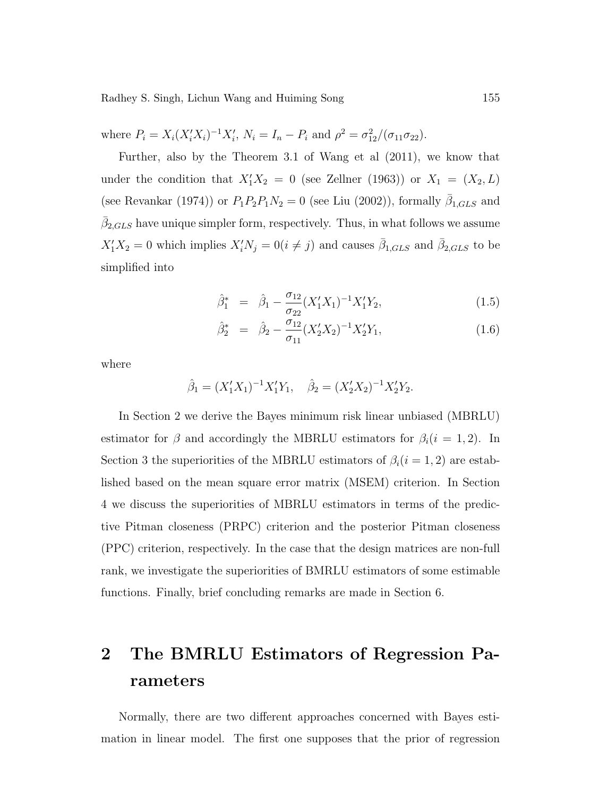where  $P_i = X_i (X_i' X_i)^{-1} X_i'$ ,  $N_i = I_n - P_i$  and  $\rho^2 = \sigma_{12}^2/(\sigma_{11} \sigma_{22})$ .

Further, also by the Theorem 3.1 of Wang et al (2011), we know that under the condition that  $X_1'X_2 = 0$  (see Zellner (1963)) or  $X_1 = (X_2, L)$ (see Revankar (1974)) or  $P_1P_2P_1N_2 = 0$  (see Liu (2002)), formally  $\bar{\beta}_{1,GLS}$  and  $\bar{\beta}_{2,GLS}$  have unique simpler form, respectively. Thus, in what follows we assume  $X_1'X_2 = 0$  which implies  $X_i'N_j = 0(i \neq j)$  and causes  $\bar{\beta}_{1,GLS}$  and  $\bar{\beta}_{2,GLS}$  to be simplified into

$$
\hat{\beta}_1^* = \hat{\beta}_1 - \frac{\sigma_{12}}{\sigma_{22}} (X_1' X_1)^{-1} X_1' Y_2, \qquad (1.5)
$$

$$
\hat{\beta}_2^* = \hat{\beta}_2 - \frac{\sigma_{12}}{\sigma_{11}} (X_2' X_2)^{-1} X_2' Y_1, \qquad (1.6)
$$

where

$$
\hat{\beta}_1 = (X_1'X_1)^{-1}X_1'Y_1, \quad \hat{\beta}_2 = (X_2'X_2)^{-1}X_2'Y_2.
$$

In Section 2 we derive the Bayes minimum risk linear unbiased (MBRLU) estimator for  $\beta$  and accordingly the MBRLU estimators for  $\beta_i(i = 1, 2)$ . In Section 3 the superiorities of the MBRLU estimators of  $\beta_i(i = 1, 2)$  are established based on the mean square error matrix (MSEM) criterion. In Section 4 we discuss the superiorities of MBRLU estimators in terms of the predictive Pitman closeness (PRPC) criterion and the posterior Pitman closeness (PPC) criterion, respectively. In the case that the design matrices are non-full rank, we investigate the superiorities of BMRLU estimators of some estimable functions. Finally, brief concluding remarks are made in Section 6.

## 2 The BMRLU Estimators of Regression Parameters

Normally, there are two different approaches concerned with Bayes estimation in linear model. The first one supposes that the prior of regression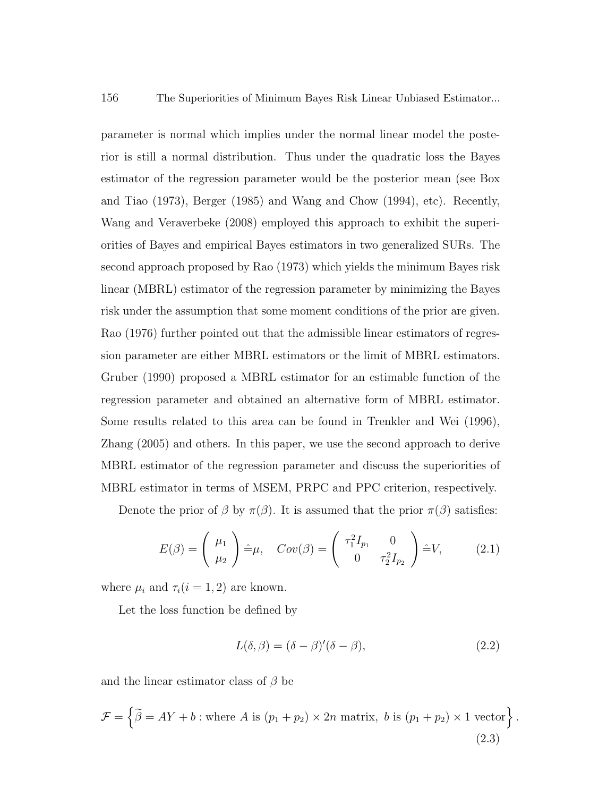parameter is normal which implies under the normal linear model the posterior is still a normal distribution. Thus under the quadratic loss the Bayes estimator of the regression parameter would be the posterior mean (see Box and Tiao (1973), Berger (1985) and Wang and Chow (1994), etc). Recently, Wang and Veraverbeke (2008) employed this approach to exhibit the superiorities of Bayes and empirical Bayes estimators in two generalized SURs. The second approach proposed by Rao (1973) which yields the minimum Bayes risk linear (MBRL) estimator of the regression parameter by minimizing the Bayes risk under the assumption that some moment conditions of the prior are given. Rao (1976) further pointed out that the admissible linear estimators of regression parameter are either MBRL estimators or the limit of MBRL estimators. Gruber (1990) proposed a MBRL estimator for an estimable function of the regression parameter and obtained an alternative form of MBRL estimator. Some results related to this area can be found in Trenkler and Wei (1996), Zhang (2005) and others. In this paper, we use the second approach to derive MBRL estimator of the regression parameter and discuss the superiorities of MBRL estimator in terms of MSEM, PRPC and PPC criterion, respectively.

Denote the prior of  $\beta$  by  $\pi(\beta)$ . It is assumed that the prior  $\pi(\beta)$  satisfies:

$$
E(\beta) = \begin{pmatrix} \mu_1 \\ \mu_2 \end{pmatrix} \hat{=} \mu, \quad Cov(\beta) = \begin{pmatrix} \tau_1^2 I_{p_1} & 0 \\ 0 & \tau_2^2 I_{p_2} \end{pmatrix} \hat{=} V, \quad (2.1)
$$

where  $\mu_i$  and  $\tau_i(i = 1, 2)$  are known.

Let the loss function be defined by

$$
L(\delta, \beta) = (\delta - \beta)'(\delta - \beta), \tag{2.2}
$$

and the linear estimator class of  $\beta$  be

$$
\mathcal{F} = \left\{ \widetilde{\beta} = AY + b : \text{where } A \text{ is } (p_1 + p_2) \times 2n \text{ matrix, } b \text{ is } (p_1 + p_2) \times 1 \text{ vector} \right\}.
$$
\n(2.3)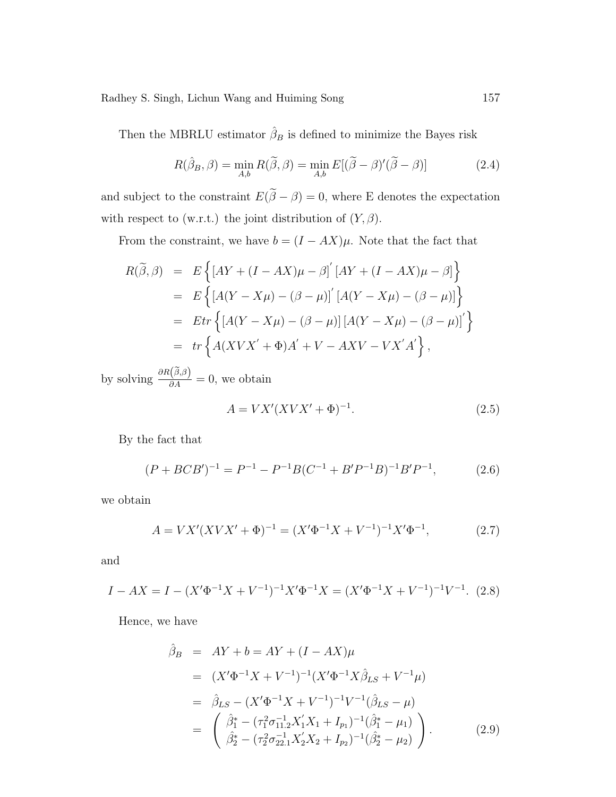Then the MBRLU estimator  $\hat{\beta}_B$  is defined to minimize the Bayes risk

$$
R(\hat{\beta}_B, \beta) = \min_{A, b} R(\tilde{\beta}, \beta) = \min_{A, b} E[(\tilde{\beta} - \beta)'(\tilde{\beta} - \beta)] \tag{2.4}
$$

and subject to the constraint  $E(\widetilde{\boldsymbol{\beta}}-\boldsymbol{\beta})=0,$  where E denotes the expectation with respect to (w.r.t.) the joint distribution of  $(Y, \beta)$ .

From the constraint, we have  $b = (I - AX)\mu$ . Note that the fact that

$$
R(\widetilde{\beta}, \beta) = E\left\{ \left[ AY + (I - AX)\mu - \beta \right]' \left[ AY + (I - AX)\mu - \beta \right] \right\}
$$
  
= 
$$
E\left\{ \left[ A(Y - X\mu) - (\beta - \mu) \right]' \left[ A(Y - X\mu) - (\beta - \mu) \right] \right\}
$$
  
= 
$$
Etr\left\{ \left[ A(Y - X\mu) - (\beta - \mu) \right] \left[ A(Y - X\mu) - (\beta - \mu) \right]' \right\}
$$
  
= 
$$
tr\left\{ A(XVX' + \Phi)A' + V - AXV - VX'A' \right\},
$$

by solving  $\frac{\partial R(\tilde{\beta},\beta)}{\partial A} = 0$ , we obtain

$$
A = VX'(XVX' + \Phi)^{-1}.
$$
 (2.5)

By the fact that

$$
(P + BCB')^{-1} = P^{-1} - P^{-1}B(C^{-1} + B'P^{-1}B)^{-1}B'P^{-1},
$$
\n(2.6)

we obtain

$$
A = VX'(XVX' + \Phi)^{-1} = (X'\Phi^{-1}X + V^{-1})^{-1}X'\Phi^{-1},
$$
\n(2.7)

and

$$
I - AX = I - (X'\Phi^{-1}X + V^{-1})^{-1}X'\Phi^{-1}X = (X'\Phi^{-1}X + V^{-1})^{-1}V^{-1}.
$$
 (2.8)

Hence, we have

$$
\hat{\beta}_B = AY + b = AY + (I - AX)\mu
$$
\n
$$
= (X'\Phi^{-1}X + V^{-1})^{-1}(X'\Phi^{-1}X\hat{\beta}_{LS} + V^{-1}\mu)
$$
\n
$$
= \hat{\beta}_{LS} - (X'\Phi^{-1}X + V^{-1})^{-1}V^{-1}(\hat{\beta}_{LS} - \mu)
$$
\n
$$
= \begin{pmatrix} \hat{\beta}_1^* - (\tau_1^2 \sigma_{11.2}^{-1} X_1' X_1 + I_{p_1})^{-1} (\hat{\beta}_1^* - \mu_1) \\ \hat{\beta}_2^* - (\tau_2^2 \sigma_{22.1}^{-1} X_2' X_2 + I_{p_2})^{-1} (\hat{\beta}_2^* - \mu_2) \end{pmatrix}.
$$
\n(2.9)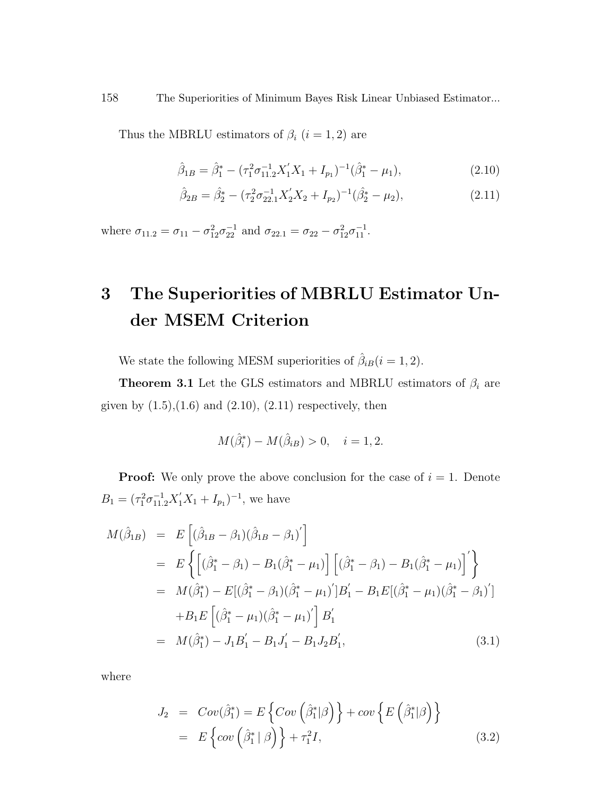Thus the MBRLU estimators of  $\beta_i$   $(i = 1, 2)$  are

$$
\hat{\beta}_{1B} = \hat{\beta}_1^* - (\tau_1^2 \sigma_{11.2}^{-1} X_1' X_1 + I_{p_1})^{-1} (\hat{\beta}_1^* - \mu_1), \tag{2.10}
$$

$$
\hat{\beta}_{2B} = \hat{\beta}_2^* - (\tau_2^2 \sigma_{22.1}^{-1} X_2' X_2 + I_{p_2})^{-1} (\hat{\beta}_2^* - \mu_2), \tag{2.11}
$$

where  $\sigma_{11.2} = \sigma_{11} - \sigma_{12}^2 \sigma_{22}^{-1}$  and  $\sigma_{22.1} = \sigma_{22} - \sigma_{12}^2 \sigma_{11}^{-1}$ .

# 3 The Superiorities of MBRLU Estimator Under MSEM Criterion

We state the following MESM superiorities of  $\hat{\beta}_{iB}(i = 1, 2)$ .

**Theorem 3.1** Let the GLS estimators and MBRLU estimators of  $\beta_i$  are given by  $(1.5)$ , $(1.6)$  and  $(2.10)$ ,  $(2.11)$  respectively, then

$$
M(\hat{\beta}_{i}^{*}) - M(\hat{\beta}_{iB}) > 0, \quad i = 1, 2.
$$

**Proof:** We only prove the above conclusion for the case of  $i = 1$ . Denote  $B_1 = (\tau_1^2 \sigma_{11.2}^{-1} X_1' X_1 + I_{p_1})^{-1}$ , we have

$$
M(\hat{\beta}_{1B}) = E[(\hat{\beta}_{1B} - \beta_1)(\hat{\beta}_{1B} - \beta_1)']
$$
  
\n
$$
= E\left\{ [(\hat{\beta}_1^* - \beta_1) - B_1(\hat{\beta}_1^* - \mu_1)] [(\hat{\beta}_1^* - \beta_1) - B_1(\hat{\beta}_1^* - \mu_1)]' \right\}
$$
  
\n
$$
= M(\hat{\beta}_1^*) - E[(\hat{\beta}_1^* - \beta_1)(\hat{\beta}_1^* - \mu_1)']B_1' - B_1E[(\hat{\beta}_1^* - \mu_1)(\hat{\beta}_1^* - \beta_1)']
$$
  
\n
$$
+ B_1E[(\hat{\beta}_1^* - \mu_1)(\hat{\beta}_1^* - \mu_1)'] B_1'
$$
  
\n
$$
= M(\hat{\beta}_1^*) - J_1B_1' - B_1J_1' - B_1J_2B_1',
$$
\n(3.1)

where

$$
J_2 = Cov(\hat{\beta}_1^*) = E\left\{Cov\left(\hat{\beta}_1^*|\beta\right)\right\} + cov\left\{E\left(\hat{\beta}_1^*|\beta\right)\right\}
$$
  
=  $E\left\{cov\left(\hat{\beta}_1^*|\beta\right)\right\} + \tau_1^2 I,$  (3.2)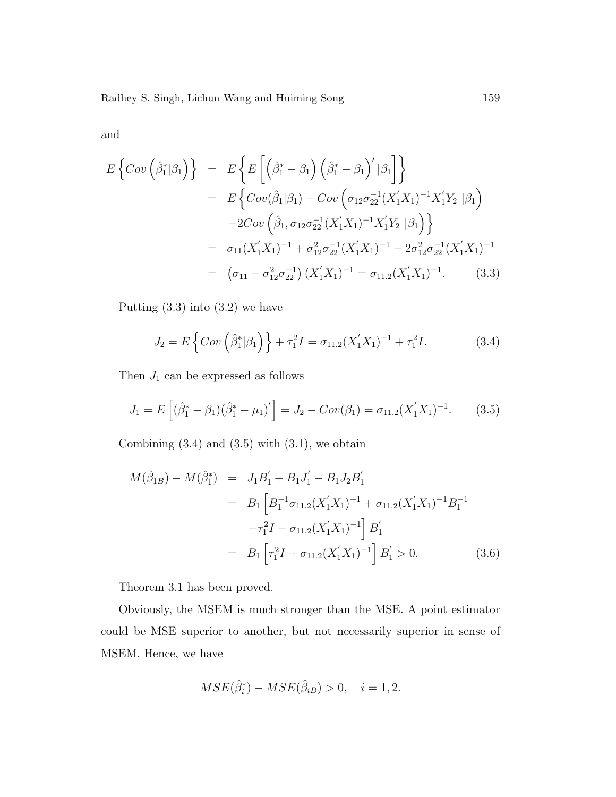and

$$
E\left\{Cov\left(\hat{\beta}_{1}^{*}|\beta_{1}\right)\right\} = E\left\{E\left[\left(\hat{\beta}_{1}^{*}-\beta_{1}\right)\left(\hat{\beta}_{1}^{*}-\beta_{1}\right)'|\beta_{1}\right]\right\}
$$
  
\n
$$
= E\left\{Cov(\hat{\beta}_{1}|\beta_{1}) + Cov\left(\sigma_{12}\sigma_{22}^{-1}(X_{1}'X_{1})^{-1}X_{1}'Y_{2}|\beta_{1}\right) -2Cov\left(\hat{\beta}_{1},\sigma_{12}\sigma_{22}^{-1}(X_{1}'X_{1})^{-1}X_{1}'Y_{2}|\beta_{1}\right)\right\}
$$
  
\n
$$
= \sigma_{11}(X_{1}'X_{1})^{-1} + \sigma_{12}^{2}\sigma_{22}^{-1}(X_{1}'X_{1})^{-1} - 2\sigma_{12}^{2}\sigma_{22}^{-1}(X_{1}'X_{1})^{-1}
$$
  
\n
$$
= (\sigma_{11} - \sigma_{12}^{2}\sigma_{22}^{-1})(X_{1}'X_{1})^{-1} = \sigma_{11.2}(X_{1}'X_{1})^{-1}. \qquad (3.3)
$$

Putting  $(3.3)$  into  $(3.2)$  we have

$$
J_2 = E\left\{Cov\left(\hat{\beta}_1^*|\beta_1\right)\right\} + \tau_1^2 I = \sigma_{11.2}(X_1'X_1)^{-1} + \tau_1^2 I. \tag{3.4}
$$

Then  $J_1$  can be expressed as follows

$$
J_1 = E\left[ (\hat{\beta}_1^* - \beta_1)(\hat{\beta}_1^* - \mu_1)' \right] = J_2 - Cov(\beta_1) = \sigma_{11.2}(X_1'X_1)^{-1}.
$$
 (3.5)

Combining  $(3.4)$  and  $(3.5)$  with  $(3.1)$ , we obtain

$$
M(\hat{\beta}_{1B}) - M(\hat{\beta}_{1}^{*}) = J_{1}B_{1}^{'} + B_{1}J_{1}^{'} - B_{1}J_{2}B_{1}^{'} = B_{1} \left[ B_{1}^{-1}\sigma_{11.2}(X_{1}^{'}X_{1})^{-1} + \sigma_{11.2}(X_{1}^{'}X_{1})^{-1}B_{1}^{-1} - \tau_{1}^{2}I - \sigma_{11.2}(X_{1}^{'}X_{1})^{-1} \right] B_{1}^{'} = B_{1} \left[ \tau_{1}^{2}I + \sigma_{11.2}(X_{1}^{'}X_{1})^{-1} \right] B_{1}^{'} > 0.
$$
 (3.6)

Theorem 3.1 has been proved.

Obviously, the MSEM is much stronger than the MSE. A point estimator could be MSE superior to another, but not necessarily superior in sense of MSEM. Hence, we have

$$
MSE(\hat{\beta}_i^*) - MSE(\hat{\beta}_{iB}) > 0, \quad i = 1, 2.
$$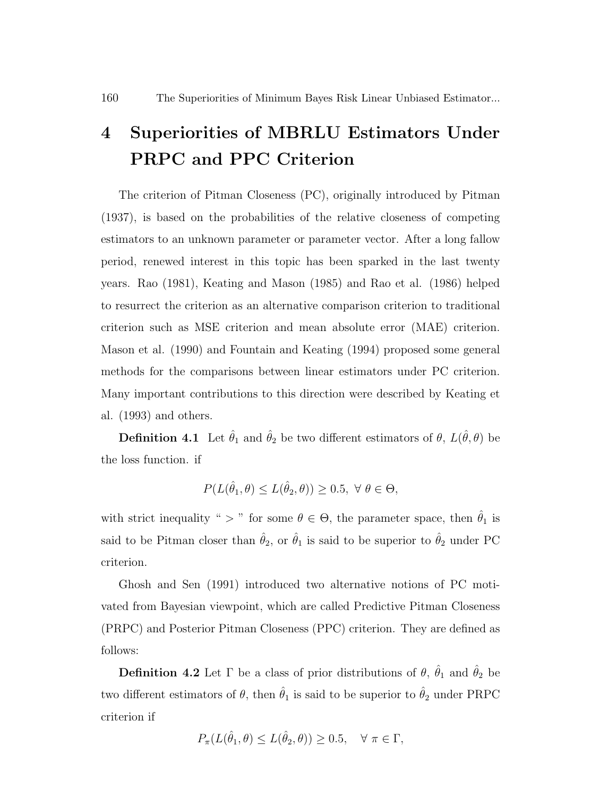### 4 Superiorities of MBRLU Estimators Under PRPC and PPC Criterion

The criterion of Pitman Closeness (PC), originally introduced by Pitman (1937), is based on the probabilities of the relative closeness of competing estimators to an unknown parameter or parameter vector. After a long fallow period, renewed interest in this topic has been sparked in the last twenty years. Rao (1981), Keating and Mason (1985) and Rao et al. (1986) helped to resurrect the criterion as an alternative comparison criterion to traditional criterion such as MSE criterion and mean absolute error (MAE) criterion. Mason et al. (1990) and Fountain and Keating (1994) proposed some general methods for the comparisons between linear estimators under PC criterion. Many important contributions to this direction were described by Keating et al. (1993) and others.

**Definition 4.1** Let  $\hat{\theta}_1$  and  $\hat{\theta}_2$  be two different estimators of  $\theta$ ,  $L(\hat{\theta}, \theta)$  be the loss function. if

$$
P(L(\hat{\theta}_1, \theta) \le L(\hat{\theta}_2, \theta)) \ge 0.5, \ \forall \ \theta \in \Theta,
$$

with strict inequality " > " for some  $\theta \in \Theta$ , the parameter space, then  $\hat{\theta}_1$  is said to be Pitman closer than  $\hat{\theta}_2$ , or  $\hat{\theta}_1$  is said to be superior to  $\hat{\theta}_2$  under PC criterion.

Ghosh and Sen (1991) introduced two alternative notions of PC motivated from Bayesian viewpoint, which are called Predictive Pitman Closeness (PRPC) and Posterior Pitman Closeness (PPC) criterion. They are defined as follows:

**Definition 4.2** Let  $\Gamma$  be a class of prior distributions of  $\theta$ ,  $\hat{\theta}_1$  and  $\hat{\theta}_2$  be two different estimators of  $\theta$ , then  $\hat{\theta}_1$  is said to be superior to  $\hat{\theta}_2$  under PRPC criterion if

$$
P_{\pi}(L(\hat{\theta}_1, \theta) \le L(\hat{\theta}_2, \theta)) \ge 0.5, \quad \forall \pi \in \Gamma,
$$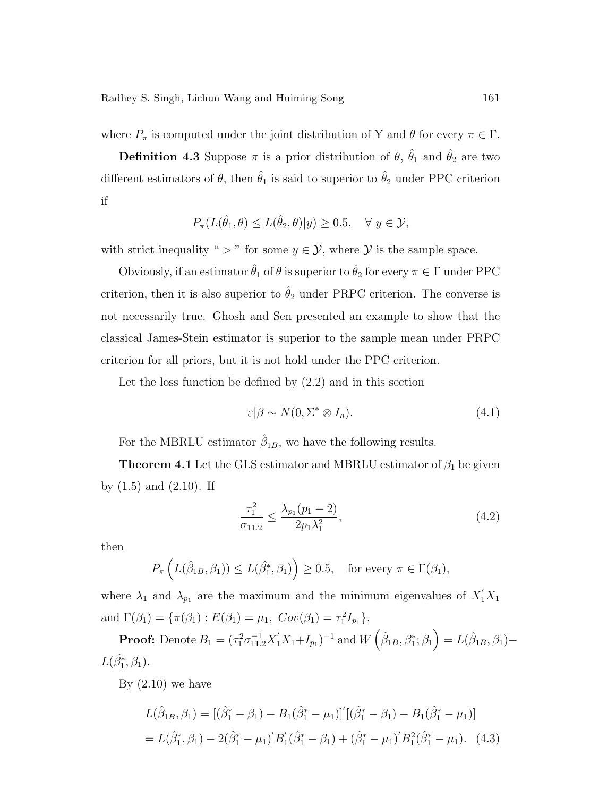where  $P_{\pi}$  is computed under the joint distribution of Y and  $\theta$  for every  $\pi \in \Gamma$ .

**Definition 4.3** Suppose  $\pi$  is a prior distribution of  $\theta$ ,  $\hat{\theta}_1$  and  $\hat{\theta}_2$  are two different estimators of  $\theta$ , then  $\hat{\theta}_1$  is said to superior to  $\hat{\theta}_2$  under PPC criterion if

$$
P_{\pi}(L(\hat{\theta}_1,\theta)\leq L(\hat{\theta}_2,\theta)|y)\geq 0.5, \quad \forall \ y\in\mathcal{Y},
$$

with strict inequality " > " for some  $y \in \mathcal{Y}$ , where  $\mathcal{Y}$  is the sample space.

Obviously, if an estimator  $\hat{\theta}_1$  of  $\theta$  is superior to  $\hat{\theta}_2$  for every  $\pi \in \Gamma$  under PPC criterion, then it is also superior to  $\hat{\theta}_2$  under PRPC criterion. The converse is not necessarily true. Ghosh and Sen presented an example to show that the classical James-Stein estimator is superior to the sample mean under PRPC criterion for all priors, but it is not hold under the PPC criterion.

Let the loss function be defined by (2.2) and in this section

$$
\varepsilon | \beta \sim N(0, \Sigma^* \otimes I_n). \tag{4.1}
$$

For the MBRLU estimator  $\hat{\beta}_{1B}$ , we have the following results.

**Theorem 4.1** Let the GLS estimator and MBRLU estimator of  $\beta_1$  be given by  $(1.5)$  and  $(2.10)$ . If

$$
\frac{\tau_1^2}{\sigma_{11.2}} \le \frac{\lambda_{p_1}(p_1 - 2)}{2p_1\lambda_1^2},\tag{4.2}
$$

then

$$
P_{\pi}\left(L(\hat{\beta}_{1B}, \beta_1)\right) \le L(\hat{\beta}_1^*, \beta_1)\right) \ge 0.5, \text{ for every } \pi \in \Gamma(\beta_1),
$$

where  $\lambda_1$  and  $\lambda_{p_1}$  are the maximum and the minimum eigenvalues of  $X_1'X_1$ and  $\Gamma(\beta_1) = {\pi(\beta_1) : E(\beta_1) = \mu_1, Cov(\beta_1) = \tau_1^2 I_{p_1}}.$  $\overline{a}$ ´

**Proof:** Denote  $B_1 = (\tau_1^2 \sigma_{11.2}^{-1} X_1' X_1 + I_{p_1})^{-1}$  and W  $\hat{\beta}_{1B}, \beta_1^*; \beta_1$  $= L(\hat{\beta}_{1B}, \beta_1) L(\hat{\beta_1^*}, \beta_1).$ 

By  $(2.10)$  we have

$$
L(\hat{\beta}_{1B}, \beta_1) = [(\hat{\beta}_1^* - \beta_1) - B_1(\hat{\beta}_1^* - \mu_1)]'[(\hat{\beta}_1^* - \beta_1) - B_1(\hat{\beta}_1^* - \mu_1)]
$$
  
=  $L(\hat{\beta}_1^*, \beta_1) - 2(\hat{\beta}_1^* - \mu_1)'B'_1(\hat{\beta}_1^* - \beta_1) + (\hat{\beta}_1^* - \mu_1)'B'_1(\hat{\beta}_1^* - \mu_1).$  (4.3)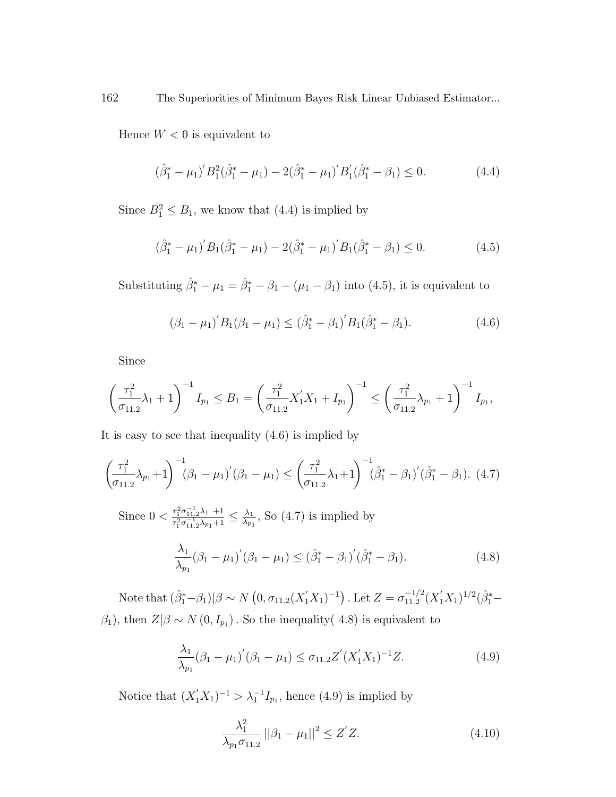Hence  $W < 0$  is equivalent to

$$
(\hat{\beta}_1^* - \mu_1)' B_1^2 (\hat{\beta}_1^* - \mu_1) - 2(\hat{\beta}_1^* - \mu_1)' B_1' (\hat{\beta}_1^* - \beta_1) \le 0.
$$
 (4.4)

Since  $B_1^2 \leq B_1$ , we know that (4.4) is implied by

$$
(\hat{\beta}_1^* - \mu_1)' B_1 (\hat{\beta}_1^* - \mu_1) - 2(\hat{\beta}_1^* - \mu_1)' B_1 (\hat{\beta}_1^* - \beta_1) \le 0.
$$
 (4.5)

Substituting  $\hat{\beta}_1^* - \mu_1 = \hat{\beta}_1^* - \beta_1 - (\mu_1 - \beta_1)$  into (4.5), it is equivalent to

$$
(\beta_1 - \mu_1)' B_1 (\beta_1 - \mu_1) \leq (\hat{\beta}_1^* - \beta_1)' B_1 (\hat{\beta}_1^* - \beta_1).
$$
 (4.6)

Since

$$
\left(\frac{\tau_1^2}{\sigma_{11.2}}\lambda_1 + 1\right)^{-1}I_{p_1} \le B_1 = \left(\frac{\tau_1^2}{\sigma_{11.2}}X_1'X_1 + I_{p_1}\right)^{-1} \le \left(\frac{\tau_1^2}{\sigma_{11.2}}\lambda_{p_1} + 1\right)^{-1}I_{p_1},
$$

It is easy to see that inequality (4.6) is implied by

$$
\left(\frac{\tau_1^2}{\sigma_{11.2}}\lambda_{p_1}+1\right)^{-1}(\beta_1-\mu_1)'(\beta_1-\mu_1) \leq \left(\frac{\tau_1^2}{\sigma_{11.2}}\lambda_1+1\right)^{-1}(\hat{\beta}_1^*-\beta_1)'(\hat{\beta}_1^*-\beta_1). \tag{4.7}
$$

Since  $0 < \frac{\tau_1^2 \sigma_{11,2}^{-1} \lambda_1 + 1}{\tau_2^2 - 1}$  $\frac{\tau_1^2\sigma_{11,2}^{-1}\lambda_1 + 1}{\tau_1^2\sigma_{11,2}^{-1}\lambda_{p_1}+1} \leq \frac{\lambda_1}{\lambda_{p_1}}$  $\frac{\lambda_1}{\lambda_{p_1}}$ , So (4.7) is implied by

$$
\frac{\lambda_1}{\lambda_{p_1}}(\beta_1 - \mu_1)'(\beta_1 - \mu_1) \leq (\hat{\beta}_1^* - \beta_1)'(\hat{\beta}_1^* - \beta_1).
$$
\n(4.8)

Note that  $(\hat{\beta}_1^* - \beta_1)|\beta \sim N$ ¡  $0, \sigma_{11.2}(X_1'X_1)^{-1}$ . Let  $Z = \sigma_{11,2}^{-1/2}$  $\frac{-1/2}{11.2}(X_1'X_1)^{1/2}(\hat{\beta}_1^* \beta_1$ , then  $Z|\beta \sim N(0, I_{p_1})$ . So the inequality(4.8) is equivalent to

$$
\frac{\lambda_1}{\lambda_{p_1}}(\beta_1 - \mu_1)'(\beta_1 - \mu_1) \le \sigma_{11.2} Z'(X'_1 X_1)^{-1} Z.
$$
\n(4.9)

Notice that  $(X'_1X_1)^{-1} > \lambda_1^{-1}I_{p_1}$ , hence (4.9) is implied by

$$
\frac{\lambda_1^2}{\lambda_{p_1}\sigma_{11.2}} ||\beta_1 - \mu_1||^2 \le Z'Z.
$$
 (4.10)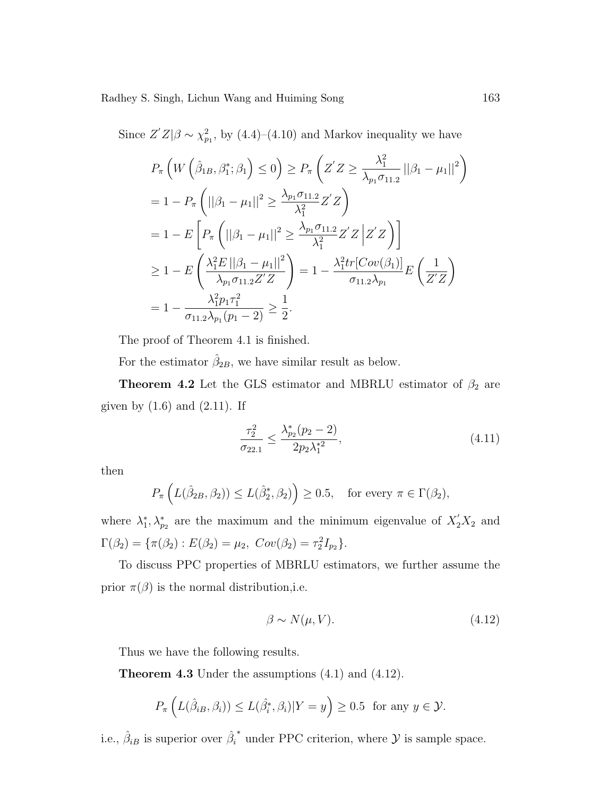Since  $Z'Z|\beta \sim \chi^2_{p_1}$ , by (4.4)–(4.10) and Markov inequality we have

$$
P_{\pi}\left(W\left(\hat{\beta}_{1B},\beta_{1}^{*};\beta_{1}\right)\leq 0\right) \geq P_{\pi}\left(Z'Z \geq \frac{\lambda_{1}^{2}}{\lambda_{p_{1}}\sigma_{11.2}}\left||\beta_{1}-\mu_{1}|\right|^{2}\right)
$$
  
\n
$$
= 1 - P_{\pi}\left(\left||\beta_{1}-\mu_{1}|\right|^{2} \geq \frac{\lambda_{p_{1}}\sigma_{11.2}}{\lambda_{1}^{2}}Z'Z\right)
$$
  
\n
$$
= 1 - E\left[P_{\pi}\left(\left||\beta_{1}-\mu_{1}|\right|^{2} \geq \frac{\lambda_{p_{1}}\sigma_{11.2}}{\lambda_{1}^{2}}Z'Z\left|Z'Z\right|\right)\right]
$$
  
\n
$$
\geq 1 - E\left(\frac{\lambda_{1}^{2}E\left||\beta_{1}-\mu_{1}|\right|^{2}}{\lambda_{p_{1}}\sigma_{11.2}Z'Z}\right) = 1 - \frac{\lambda_{1}^{2}tr\left[Cov(\beta_{1})\right]}{\sigma_{11.2}\lambda_{p_{1}}}E\left(\frac{1}{Z'Z}\right)
$$
  
\n
$$
= 1 - \frac{\lambda_{1}^{2}p_{1}\tau_{1}^{2}}{\sigma_{11.2}\lambda_{p_{1}}(p_{1}-2)} \geq \frac{1}{2}.
$$

The proof of Theorem 4.1 is finished.

For the estimator  $\hat{\beta}_{2B}$ , we have similar result as below.

**Theorem 4.2** Let the GLS estimator and MBRLU estimator of  $\beta_2$  are given by  $(1.6)$  and  $(2.11)$ . If

$$
\frac{\tau_2^2}{\sigma_{22.1}} \le \frac{\lambda_{p_2}^*(p_2 - 2)}{2p_2 \lambda_1^{*2}},\tag{4.11}
$$

then

$$
P_{\pi}\left(L(\hat{\beta}_{2B}, \beta_2)\right) \le L(\hat{\beta}_2^*, \beta_2) \ge 0.5, \text{ for every } \pi \in \Gamma(\beta_2),
$$

where  $\lambda_1^*, \lambda_{p_2}^*$  are the maximum and the minimum eigenvalue of  $X_2'X_2$  and  $\Gamma(\beta_2) = {\pi(\beta_2) : E(\beta_2) = \mu_2, Cov(\beta_2) = \tau_2^2 I_{p_2}}.$ 

To discuss PPC properties of MBRLU estimators, we further assume the prior  $\pi(\beta)$  is the normal distribution, i.e.

$$
\beta \sim N(\mu, V). \tag{4.12}
$$

Thus we have the following results.

Theorem 4.3 Under the assumptions (4.1) and (4.12).

$$
P_{\pi}\left(L(\hat{\beta}_{iB}, \beta_i)) \le L(\hat{\beta}_i^*, \beta_i)|Y = y\right) \ge 0.5 \text{ for any } y \in \mathcal{Y}.
$$

i.e.,  $\hat{\beta}_{iB}$  is superior over  $\hat{\beta}_i$  $*$  under PPC criterion, where  $\mathcal Y$  is sample space.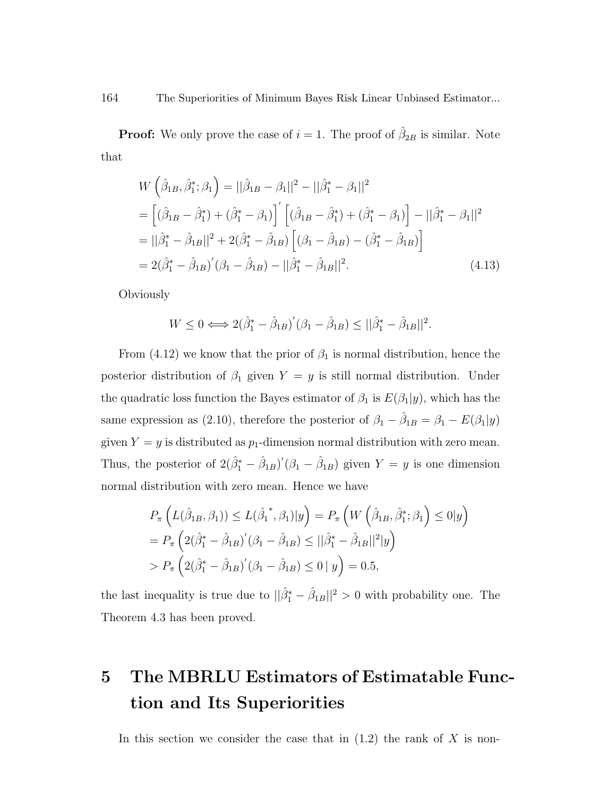**Proof:** We only prove the case of  $i = 1$ . The proof of  $\hat{\beta}_{2B}$  is similar. Note that

$$
W\left(\hat{\beta}_{1B}, \hat{\beta}_{1}^{*}; \beta_{1}\right) = ||\hat{\beta}_{1B} - \beta_{1}||^{2} - ||\hat{\beta}_{1}^{*} - \beta_{1}||^{2}
$$
  
=  $\left[ (\hat{\beta}_{1B} - \hat{\beta}_{1}^{*}) + (\hat{\beta}_{1}^{*} - \beta_{1}) \right] \left[ (\hat{\beta}_{1B} - \hat{\beta}_{1}^{*}) + (\hat{\beta}_{1}^{*} - \beta_{1}) \right] - ||\hat{\beta}_{1}^{*} - \beta_{1}||^{2}$   
=  $||\hat{\beta}_{1}^{*} - \hat{\beta}_{1B}||^{2} + 2(\hat{\beta}_{1}^{*} - \hat{\beta}_{1B}) \left[ (\beta_{1} - \hat{\beta}_{1B}) - (\hat{\beta}_{1}^{*} - \hat{\beta}_{1B}) \right]$   
=  $2(\hat{\beta}_{1}^{*} - \hat{\beta}_{1B})'(\beta_{1} - \hat{\beta}_{1B}) - ||\hat{\beta}_{1}^{*} - \hat{\beta}_{1B}||^{2}.$  (4.13)

Obviously

$$
W \le 0 \Longleftrightarrow 2(\hat{\beta}_1^* - \hat{\beta}_{1B})'(\beta_1 - \hat{\beta}_{1B}) \le ||\hat{\beta}_1^* - \hat{\beta}_{1B}||^2.
$$

From (4.12) we know that the prior of  $\beta_1$  is normal distribution, hence the posterior distribution of  $\beta_1$  given  $Y = y$  is still normal distribution. Under the quadratic loss function the Bayes estimator of  $\beta_1$  is  $E(\beta_1|y)$ , which has the same expression as (2.10), therefore the posterior of  $\beta_1 - \hat{\beta}_{1B} = \beta_1 - E(\beta_1|y)$ given  $Y = y$  is distributed as  $p_1$ -dimension normal distribution with zero mean. Thus, the posterior of  $2(\hat{\beta}_1^* - \hat{\beta}_{1B})'(\beta_1 - \hat{\beta}_{1B})$  given  $Y = y$  is one dimension normal distribution with zero mean. Hence we have

$$
P_{\pi}\left(L(\hat{\beta}_{1B}, \beta_{1})) \le L(\hat{\beta}_{1}^{*}, \beta_{1})|y\right) = P_{\pi}\left(W\left(\hat{\beta}_{1B}, \hat{\beta}_{1}^{*}; \beta_{1}\right) \le 0|y\right)
$$
  
=  $P_{\pi}\left(2(\hat{\beta}_{1}^{*} - \hat{\beta}_{1B})'(\beta_{1} - \hat{\beta}_{1B}) \le ||\hat{\beta}_{1}^{*} - \hat{\beta}_{1B}||^{2}|y\right)$   
>  $P_{\pi}\left(2(\hat{\beta}_{1}^{*} - \hat{\beta}_{1B})'(\beta_{1} - \hat{\beta}_{1B}) \le 0|y\right) = 0.5,$ 

the last inequality is true due to  $\|\hat{\beta}_1^* - \hat{\beta}_{1B}\|^2 > 0$  with probability one. The Theorem 4.3 has been proved.

# 5 The MBRLU Estimators of Estimatable Function and Its Superiorities

In this section we consider the case that in  $(1.2)$  the rank of X is non-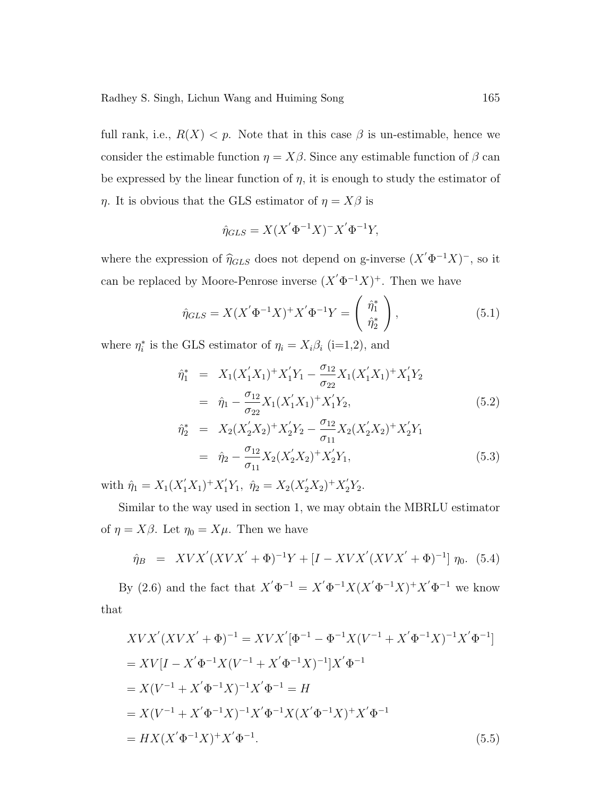full rank, i.e.,  $R(X) < p$ . Note that in this case  $\beta$  is un-estimable, hence we consider the estimable function  $\eta = X\beta$ . Since any estimable function of  $\beta$  can be expressed by the linear function of  $\eta$ , it is enough to study the estimator of  $\eta$ . It is obvious that the GLS estimator of  $\eta = X\beta$  is

$$
\hat{\eta}_{GLS} = X(X'\Phi^{-1}X)^{-}X'\Phi^{-1}Y,
$$

where the expression of  $\hat{\eta}_{GLS}$  does not depend on g-inverse  $(X'\Phi^{-1}X)^-$ , so it can be replaced by Moore-Penrose inverse  $(X' \Phi^{-1} X)^+$ . Then we have

$$
\hat{\eta}_{GLS} = X(X'\Phi^{-1}X)^{+}X'\Phi^{-1}Y = \begin{pmatrix} \hat{\eta}_1^* \\ \hat{\eta}_2^* \end{pmatrix},
$$
\n(5.1)

where  $\eta_i^*$  is the GLS estimator of  $\eta_i = X_i \beta_i$  (i=1,2), and

$$
\hat{\eta}_1^* = X_1(X_1'X_1)^+ X_1'Y_1 - \frac{\sigma_{12}}{\sigma_{22}} X_1(X_1'X_1)^+ X_1'Y_2
$$
\n
$$
= \hat{\eta}_1 - \frac{\sigma_{12}}{\sigma_{22}} X_1(X_1'X_1)^+ X_1'Y_2,
$$
\n
$$
\hat{\eta}_2^* = X_2(X_2'X_2)^+ X_2'Y_2 - \frac{\sigma_{12}}{\sigma_{11}} X_2(X_2'X_2)^+ X_2'Y_1
$$
\n(5.2)

$$
= \hat{\eta}_2 - \frac{\sigma_{12}}{\sigma_{11}} X_2 (X_2' X_2)^+ X_2' Y_1, \tag{5.3}
$$

with  $\hat{\eta}_1 = X_1(X_1'X_1)^+ X_1'Y_1$ ,  $\hat{\eta}_2 = X_2(X_2'X_2)^+ X_2'Y_2$ .

Similar to the way used in section 1, we may obtain the MBRLU estimator of  $\eta = X\beta$ . Let  $\eta_0 = X\mu$ . Then we have

$$
\hat{\eta}_B = XV X'(XV X' + \Phi)^{-1} Y + [I - XV X'(XV X' + \Phi)^{-1}] \eta_0. \tag{5.4}
$$

By (2.6) and the fact that  $X' \Phi^{-1} = X' \Phi^{-1} X (X' \Phi^{-1} X)^+ X' \Phi^{-1}$  we know that

$$
XVX'(XVX' + \Phi)^{-1} = XVX'[\Phi^{-1} - \Phi^{-1}X(V^{-1} + X'\Phi^{-1}X)^{-1}X'\Phi^{-1}]
$$
  
=  $XV[I - X'\Phi^{-1}X(V^{-1} + X'\Phi^{-1}X)^{-1}]X'\Phi^{-1}$   
=  $X(V^{-1} + X'\Phi^{-1}X)^{-1}X'\Phi^{-1} = H$   
=  $X(V^{-1} + X'\Phi^{-1}X)^{-1}X'\Phi^{-1}X(X'\Phi^{-1}X)^{+}X'\Phi^{-1}$   
=  $HX(X'\Phi^{-1}X)^{+}X'\Phi^{-1}$ . (5.5)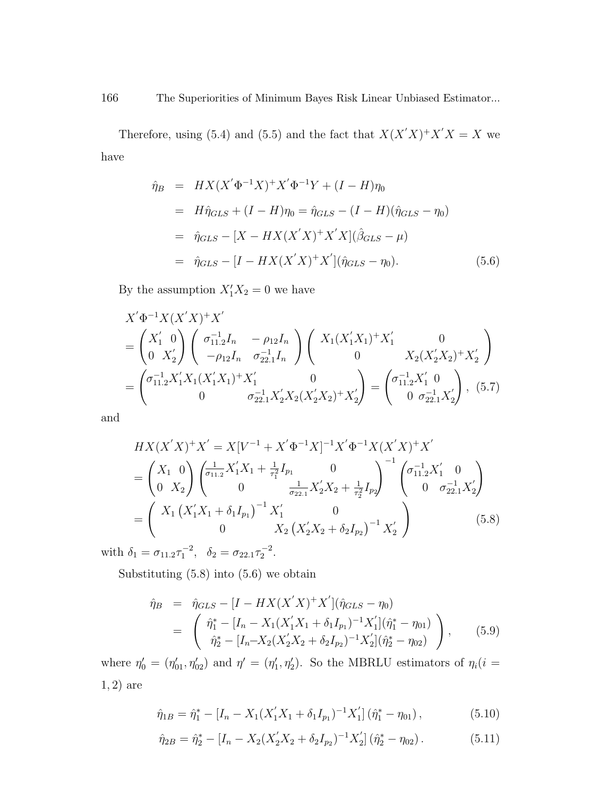Therefore, using (5.4) and (5.5) and the fact that  $X(X'X)^+X'X = X$  we have

$$
\hat{\eta}_B = HX(X'\Phi^{-1}X)^+ X'\Phi^{-1}Y + (I - H)\eta_0 \n= H\hat{\eta}_{GLS} + (I - H)\eta_0 = \hat{\eta}_{GLS} - (I - H)(\hat{\eta}_{GLS} - \eta_0) \n= \hat{\eta}_{GLS} - [X - HX(X'X)^+ X'X](\hat{\beta}_{GLS} - \mu) \n= \hat{\eta}_{GLS} - [I - HX(X'X)^+ X'](\hat{\eta}_{GLS} - \eta_0).
$$
\n(5.6)

By the assumption  $X_1'X_2 = 0$  we have

$$
X'\Phi^{-1}X(X'X)^{+}X'
$$
  
=  $\begin{pmatrix} X'_1 & 0 \\ 0 & X'_2 \end{pmatrix} \begin{pmatrix} \sigma_{11.2}^{-1}I_n & -\rho_{12}I_n \\ -\rho_{12}I_n & \sigma_{22.1}^{-1}I_n \end{pmatrix} \begin{pmatrix} X_1(X'_1X_1)^{+}X'_1 & 0 \\ 0 & X_2(X'_2X_2)^{+}X'_2 \end{pmatrix}$   
=  $\begin{pmatrix} \sigma_{11.2}^{-1}X'_1X_1(X'_1X_1)^{+}X'_1 & 0 \\ 0 & \sigma_{22.1}^{-1}X'_2X_2(X'_2X_2)^{+}X'_2 \end{pmatrix} = \begin{pmatrix} \sigma_{11.2}^{-1}X'_1 & 0 \\ 0 & \sigma_{22.1}^{-1}X'_2 \end{pmatrix}$ , (5.7)

and

$$
HX(X'X)^{+}X' = X[V^{-1} + X'\Phi^{-1}X]^{-1}X'\Phi^{-1}X(X'X)^{+}X'
$$
  
=  $\begin{pmatrix} X_1 & 0 \ 0 & X_2 \end{pmatrix} \begin{pmatrix} \frac{1}{\sigma_{11.2}}X'_1X_1 + \frac{1}{\tau_1^2}I_{p_1} & 0 \\ 0 & \frac{1}{\sigma_{22.1}}X'_2X_2 + \frac{1}{\tau_2^2}I_{p_2} \end{pmatrix}^{-1} \begin{pmatrix} \sigma_{11.2}^{-1}X'_1 & 0 \\ 0 & \sigma_{22.1}^{-1}X'_2 \end{pmatrix}$   
=  $\begin{pmatrix} X_1(X'_1X_1 + \delta_1I_{p_1})^{-1}X'_1 & 0 \\ 0 & X_2(X'_2X_2 + \delta_2I_{p_2})^{-1}X'_2 \end{pmatrix}$  (5.8)

with  $\delta_1 = \sigma_{11.2} \tau_1^{-2}$ ,  $\delta_2 = \sigma_{22.1} \tau_2^{-2}$ .

Substituting (5.8) into (5.6) we obtain

$$
\hat{\eta}_B = \hat{\eta}_{GLS} - [I - HX(X'X)^+ X'](\hat{\eta}_{GLS} - \eta_0)
$$
\n
$$
= \begin{pmatrix}\n\hat{\eta}_1^* - [I_n - X_1(X_1'X_1 + \delta_1 I_{p_1})^{-1} X_1'](\hat{\eta}_1^* - \eta_{01}) \\
\hat{\eta}_2^* - [I_n - X_2(X_2'X_2 + \delta_2 I_{p_2})^{-1} X_2'](\hat{\eta}_2^* - \eta_{02})\n\end{pmatrix},
$$
\n(5.9)

where  $\eta_0' = (\eta_{01}', \eta_{02}')$  and  $\eta' = (\eta_1', \eta_2')$ . So the MBRLU estimators of  $\eta_i(i =$ 1, 2) are

$$
\hat{\eta}_{1B} = \hat{\eta}_1^* - [I_n - X_1(X_1'X_1 + \delta_1 I_{p_1})^{-1}X_1'](\hat{\eta}_1^* - \eta_{01}), \qquad (5.10)
$$

$$
\hat{\eta}_{2B} = \hat{\eta}_2^* - [I_n - X_2(X_2'X_2 + \delta_2 I_{p_2})^{-1}X_2'](\hat{\eta}_2^* - \eta_{02}).
$$
\n(5.11)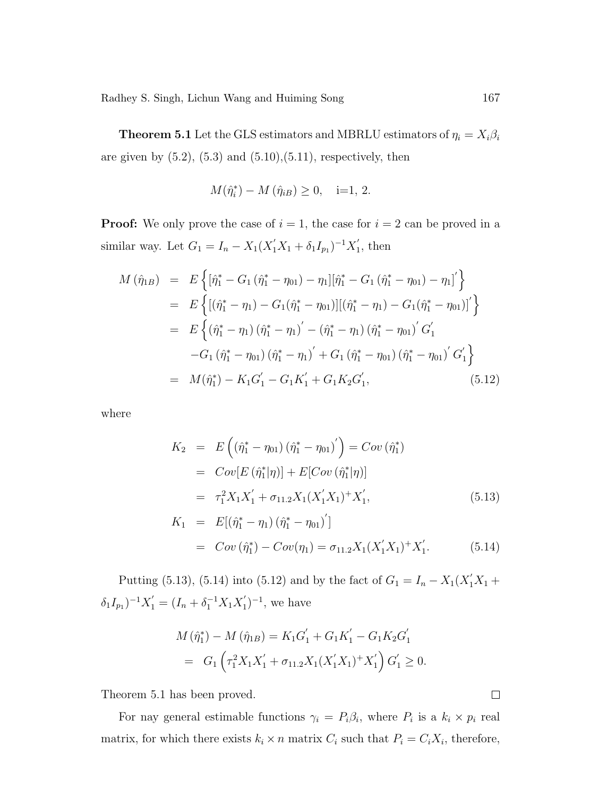**Theorem 5.1** Let the GLS estimators and MBRLU estimators of  $\eta_i = X_i \beta_i$ are given by  $(5.2)$ ,  $(5.3)$  and  $(5.10)$ , $(5.11)$ , respectively, then

$$
M(\hat{\eta}_i^*) - M(\hat{\eta}_{iB}) \ge 0, \quad i=1, 2.
$$

**Proof:** We only prove the case of  $i = 1$ , the case for  $i = 2$  can be proved in a similar way. Let  $G_1 = I_n - X_1 (X_1' X_1 + \delta_1 I_{p_1})^{-1} X_1'$  $i<sub>1</sub>$ , then

$$
M(\hat{\eta}_{1B}) = E\left\{ [\hat{\eta}_1^* - G_1(\hat{\eta}_1^* - \eta_{01}) - \eta_1][\hat{\eta}_1^* - G_1(\hat{\eta}_1^* - \eta_{01}) - \eta_1]'\right\}
$$
  
\n
$$
= E\left\{ [(\hat{\eta}_1^* - \eta_1) - G_1(\hat{\eta}_1^* - \eta_{01})][(\hat{\eta}_1^* - \eta_1) - G_1(\hat{\eta}_1^* - \eta_{01})]'\right\}
$$
  
\n
$$
= E\left\{ (\hat{\eta}_1^* - \eta_1)(\hat{\eta}_1^* - \eta_1)' - (\hat{\eta}_1^* - \eta_1)(\hat{\eta}_1^* - \eta_{01})'G_1'
$$
  
\n
$$
-G_1(\hat{\eta}_1^* - \eta_{01})(\hat{\eta}_1^* - \eta_1)' + G_1(\hat{\eta}_1^* - \eta_{01})(\hat{\eta}_1^* - \eta_{01})'G_1'\right\}
$$
  
\n
$$
= M(\hat{\eta}_1^*) - K_1G_1' - G_1K_1' + G_1K_2G_1',
$$
 (5.12)

where

$$
K_2 = E\left((\hat{\eta}_1^* - \eta_{01})(\hat{\eta}_1^* - \eta_{01})'\right) = Cov\left(\hat{\eta}_1^*\right)
$$
  
\n
$$
= Cov[E(\hat{\eta}_1^*|\eta)] + E[Cov(\hat{\eta}_1^*|\eta)]
$$
  
\n
$$
= \tau_1^2 X_1 X_1' + \sigma_{11.2} X_1 (X_1' X_1)^+ X_1',
$$
  
\n
$$
K_1 = E[(\hat{\eta}_1^* - \eta_1)(\hat{\eta}_1^* - \eta_{01})']
$$
\n(5.13)

$$
= Cov(\hat{\eta}_1^*) - Cov(\eta_1) = \sigma_{11.2} X_1 (X_1' X_1)^+ X_1'. \tag{5.14}
$$

Putting (5.13), (5.14) into (5.12) and by the fact of  $G_1 = I_n - X_1(X_1'X_1 +$  $\delta_1 I_{p_1}$ )<sup>-1</sup> $X'_1 = (I_n + \delta_1^{-1} X_1 X'_1)$  $\binom{1}{1}^{-1}$ , we have

$$
M(\hat{\eta}_1^*) - M(\hat{\eta}_{1B}) = K_1 G_1' + G_1 K_1' - G_1 K_2 G_1'
$$
  
= 
$$
G_1 \left( \tau_1^2 X_1 X_1' + \sigma_{11.2} X_1 (X_1' X_1)^+ X_1' \right) G_1' \geq 0.
$$

Theorem 5.1 has been proved.

For nay general estimable functions  $\gamma_i = P_i \beta_i$ , where  $P_i$  is a  $k_i \times p_i$  real matrix, for which there exists  $k_i \times n$  matrix  $C_i$  such that  $P_i = C_i X_i$ , therefore,

 $\Box$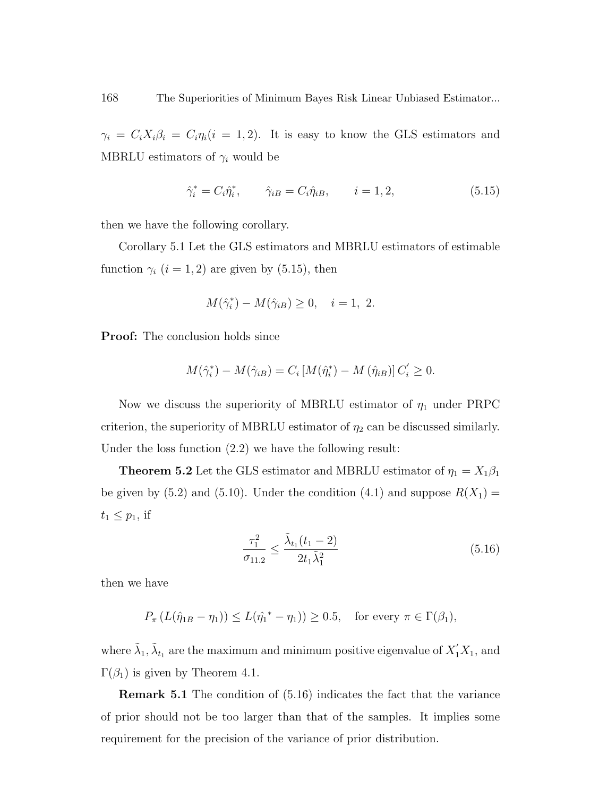$\gamma_i = C_i X_i \beta_i = C_i \eta_i (i = 1, 2)$ . It is easy to know the GLS estimators and MBRLU estimators of  $\gamma_i$  would be

$$
\hat{\gamma}_i^* = C_i \hat{\eta}_i^*, \qquad \hat{\gamma}_{iB} = C_i \hat{\eta}_{iB}, \qquad i = 1, 2,
$$
\n
$$
(5.15)
$$

then we have the following corollary.

Corollary 5.1 Let the GLS estimators and MBRLU estimators of estimable function  $\gamma_i$   $(i = 1, 2)$  are given by (5.15), then

$$
M(\hat{\gamma}_i^*) - M(\hat{\gamma}_{iB}) \ge 0, \quad i = 1, 2.
$$

Proof: The conclusion holds since

$$
M(\hat{\gamma}_i^*) - M(\hat{\gamma}_{iB}) = C_i \left[ M(\hat{\eta}_i^*) - M(\hat{\eta}_{iB}) \right] C_i' \ge 0.
$$

Now we discuss the superiority of MBRLU estimator of  $\eta_1$  under PRPC criterion, the superiority of MBRLU estimator of  $\eta_2$  can be discussed similarly. Under the loss function (2.2) we have the following result:

**Theorem 5.2** Let the GLS estimator and MBRLU estimator of  $\eta_1 = X_1 \beta_1$ be given by (5.2) and (5.10). Under the condition (4.1) and suppose  $R(X_1)$  =  $t_1 \leq p_1$ , if

$$
\frac{\tau_1^2}{\sigma_{11.2}} \le \frac{\tilde{\lambda}_{t_1}(t_1 - 2)}{2t_1 \tilde{\lambda}_1^2} \tag{5.16}
$$

then we have

$$
P_{\pi}\left(L(\hat{\eta}_{1B} - \eta_1)\right) \le L(\hat{\eta_1}^* - \eta_1)\ge 0.5, \text{ for every } \pi \in \Gamma(\beta_1),
$$

where  $\tilde{\lambda}_1$ ,  $\tilde{\lambda}_{t_1}$  are the maximum and minimum positive eigenvalue of  $X'_1X_1$ , and  $\Gamma(\beta_1)$  is given by Theorem 4.1.

Remark 5.1 The condition of (5.16) indicates the fact that the variance of prior should not be too larger than that of the samples. It implies some requirement for the precision of the variance of prior distribution.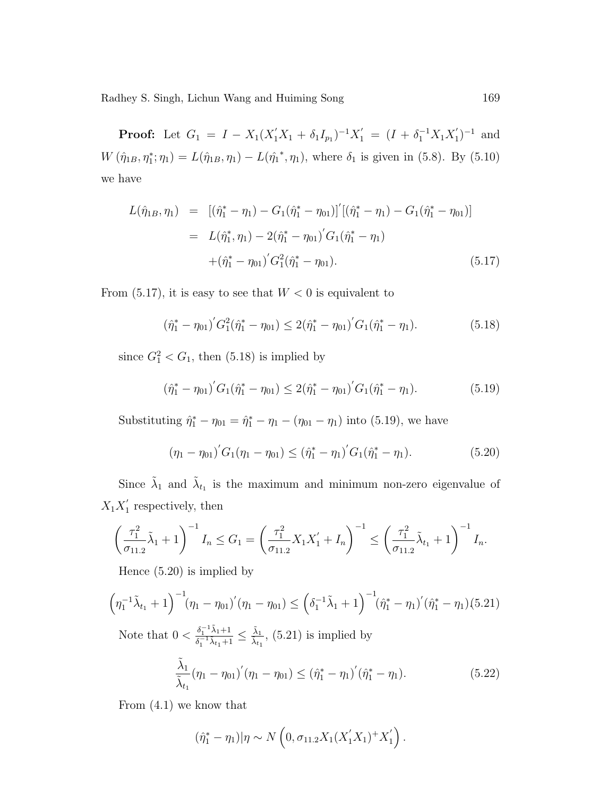**Proof:** Let  $G_1 = I - X_1(X_1'X_1 + \delta_1I_{p_1})^{-1}X_1' = (I + \delta_1^{-1}X_1X_1')$  $j_1^{\prime})^{-1}$  and  $W(\hat{\eta}_{1B}, \eta_1^*; \eta_1) = L(\hat{\eta}_{1B}, \eta_1) - L(\hat{\eta_1}^*, \eta_1)$ , where  $\delta_1$  is given in (5.8). By (5.10) we have

$$
L(\hat{\eta}_{1B}, \eta_1) = [(\hat{\eta}_1^* - \eta_1) - G_1(\hat{\eta}_1^* - \eta_{01})]' [(\hat{\eta}_1^* - \eta_1) - G_1(\hat{\eta}_1^* - \eta_{01})]
$$
  

$$
= L(\hat{\eta}_1^*, \eta_1) - 2(\hat{\eta}_1^* - \eta_{01})' G_1(\hat{\eta}_1^* - \eta_1)
$$
  

$$
+ (\hat{\eta}_1^* - \eta_{01})' G_1^2(\hat{\eta}_1^* - \eta_{01}).
$$
 (5.17)

From  $(5.17)$ , it is easy to see that  $W < 0$  is equivalent to

$$
(\hat{\eta}_1^* - \eta_{01})' G_1^2(\hat{\eta}_1^* - \eta_{01}) \le 2(\hat{\eta}_1^* - \eta_{01})' G_1(\hat{\eta}_1^* - \eta_{1}).
$$
\n(5.18)

since  $G_1^2 < G_1$ , then (5.18) is implied by

$$
(\hat{\eta}_1^* - \eta_{01})' G_1(\hat{\eta}_1^* - \eta_{01}) \le 2(\hat{\eta}_1^* - \eta_{01})' G_1(\hat{\eta}_1^* - \eta_{1}).
$$
\n(5.19)

Substituting  $\hat{\eta}_1^* - \eta_{01} = \hat{\eta}_1^* - \eta_1 - (\eta_{01} - \eta_1)$  into (5.19), we have

$$
(\eta_1 - \eta_{01})' G_1(\eta_1 - \eta_{01}) \le (\hat{\eta}_1^* - \eta_1)' G_1(\hat{\eta}_1^* - \eta_1). \tag{5.20}
$$

Since  $\tilde{\lambda}_1$  and  $\tilde{\lambda}_{t_1}$  is the maximum and minimum non-zero eigenvalue of  $X_1 X_1'$  $i<sub>1</sub>$  respectively, then

$$
\left(\frac{\tau_1^2}{\sigma_{11.2}}\tilde{\lambda}_1 + 1\right)^{-1}I_n \le G_1 = \left(\frac{\tau_1^2}{\sigma_{11.2}}X_1X_1' + I_n\right)^{-1} \le \left(\frac{\tau_1^2}{\sigma_{11.2}}\tilde{\lambda}_{t_1} + 1\right)^{-1}I_n.
$$

Hence (5.20) is implied by

$$
\left(\eta_1^{-1}\tilde{\lambda}_{t_1}+1\right)^{-1}\!\!\left(\eta_1-\eta_{01}\right)'\!\left(\eta_1-\eta_{01}\right)\leq \left(\delta_1^{-1}\tilde{\lambda}_1+1\right)^{-1}\!\!\left(\hat{\eta}_1^*-\eta_1\right)'\!\!\left(\hat{\eta}_1^*-\eta_1\right)\!\!\left(5.21\right)
$$

Note that  $0 < \frac{\delta_1^{-1}\tilde{\lambda}_1 + 1}{s-1\tilde{\lambda}_1 + 1}$  $\frac{\delta_1^{-1}\tilde{\lambda}_1+1}{\delta_1^{-1}\tilde{\lambda}_{t_1}+1} \leq \frac{\tilde{\lambda}_1}{\tilde{\lambda}_{t_1}},$  (5.21) is implied by

$$
\frac{\tilde{\lambda}_1}{\tilde{\lambda}_{t_1}}(\eta_1 - \eta_{01})'(\eta_1 - \eta_{01}) \le (\hat{\eta}_1^* - \eta_1)'(\hat{\eta}_1^* - \eta_1). \tag{5.22}
$$

From (4.1) we know that

$$
(\hat{\eta}_1^* - \eta_1)|\eta \sim N\left(0, \sigma_{11.2}X_1(X_1'X_1)^+X_1'\right).
$$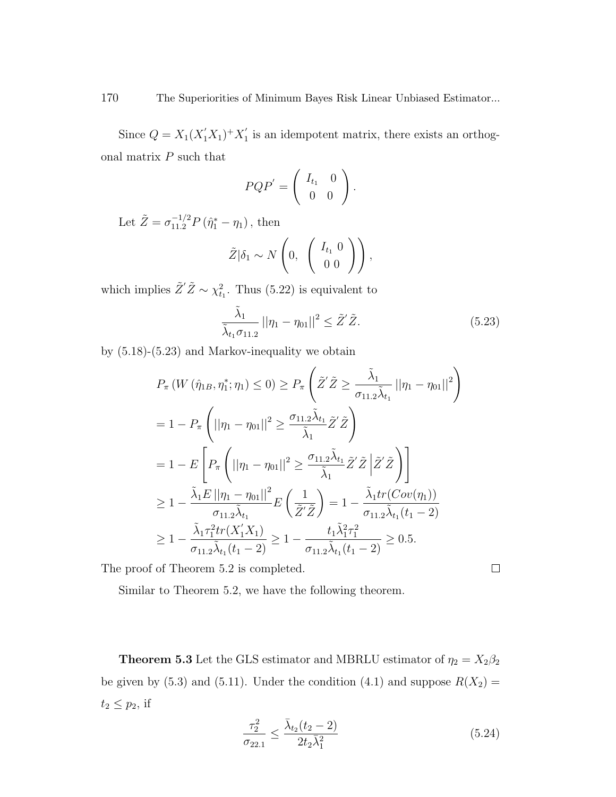Since  $Q = X_1(X_1'X_1)^+X_1'$  $i_1$  is an idempotent matrix, there exists an orthogonal matrix  $P$  such that  $\overline{\phantom{a}}$ 

$$
PQP'=\left(\begin{array}{cc}I_{t_1}&0\\0&0\end{array}\right).
$$

Let  $\tilde{Z} = \sigma_{11.2}^{-1/2} P (\hat{\eta}_1^* - \eta_1)$ , then

$$
\tilde{Z}|\delta_1 \sim N\left(0, \begin{pmatrix} I_{t_1} & 0 \\ 0 & 0 \end{pmatrix}\right),
$$

which implies  $\tilde{Z}'\tilde{Z} \sim \chi^2_{t_1}$ . Thus (5.22) is equivalent to

$$
\frac{\tilde{\lambda}_1}{\tilde{\lambda}_{t_1}\sigma_{11.2}} ||\eta_1 - \eta_{01}||^2 \le \tilde{Z}'\tilde{Z}.
$$
\n(5.23)

by (5.18)-(5.23) and Markov-inequality we obtain

$$
P_{\pi} \left( W \left( \hat{\eta}_{1B}, \eta_1^*; \eta_1 \right) \leq 0 \right) \geq P_{\pi} \left( \tilde{Z}^{\prime} \tilde{Z} \geq \frac{\tilde{\lambda}_1}{\sigma_{11.2} \tilde{\lambda}_{t_1}} ||\eta_1 - \eta_0_1||^2 \right)
$$
  
\n
$$
= 1 - P_{\pi} \left( ||\eta_1 - \eta_0_1||^2 \geq \frac{\sigma_{11.2} \tilde{\lambda}_{t_1}}{\tilde{\lambda}_1} \tilde{Z}^{\prime} \tilde{Z} \right)
$$
  
\n
$$
= 1 - E \left[ P_{\pi} \left( ||\eta_1 - \eta_0_1||^2 \geq \frac{\sigma_{11.2} \tilde{\lambda}_{t_1}}{\tilde{\lambda}_1} \tilde{Z}^{\prime} \tilde{Z} \middle| \tilde{Z}^{\prime} \tilde{Z} \right) \right]
$$
  
\n
$$
\geq 1 - \frac{\tilde{\lambda}_1 E ||\eta_1 - \eta_0_1||^2}{\sigma_{11.2} \tilde{\lambda}_{t_1}} E \left( \frac{1}{\tilde{Z}^{\prime} \tilde{Z}} \right) = 1 - \frac{\tilde{\lambda}_1 tr(Cov(\eta_1))}{\sigma_{11.2} \tilde{\lambda}_{t_1}(t_1 - 2)}
$$
  
\n
$$
\geq 1 - \frac{\tilde{\lambda}_1 \tau_1^2 tr(X_1^{\prime} X_1)}{\sigma_{11.2} \tilde{\lambda}_{t_1}(t_1 - 2)} \geq 1 - \frac{t_1 \tilde{\lambda}_1^2 \tau_1^2}{\sigma_{11.2} \tilde{\lambda}_{t_1}(t_1 - 2)} \geq 0.5.
$$

The proof of Theorem 5.2 is completed.

Similar to Theorem 5.2, we have the following theorem.

**Theorem 5.3** Let the GLS estimator and MBRLU estimator of  $\eta_2 = X_2\beta_2$ be given by (5.3) and (5.11). Under the condition (4.1) and suppose  $R(X_2)$  =  $t_2 \leq p_2$ , if

$$
\frac{\tau_2^2}{\sigma_{22.1}} \le \frac{\bar{\lambda}_{t_2}(t_2 - 2)}{2t_2 \bar{\lambda}_1^2} \tag{5.24}
$$

 $\Box$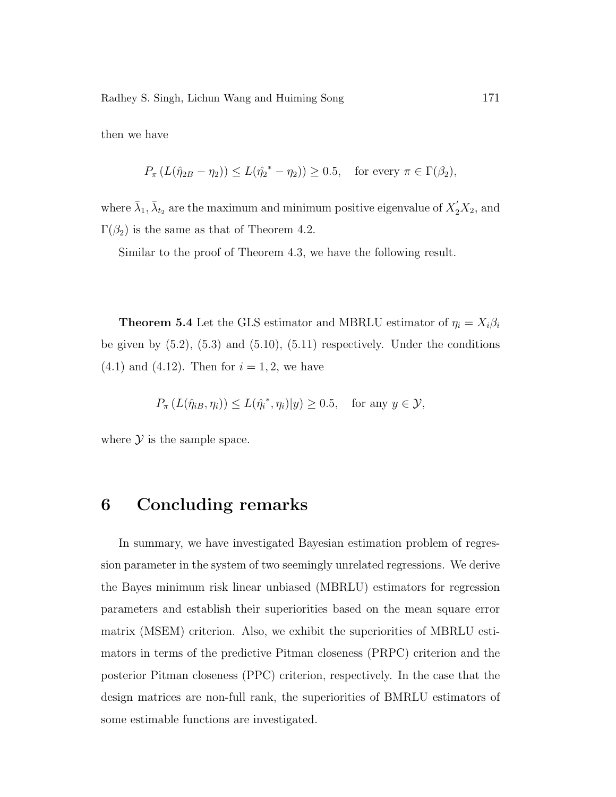then we have

$$
P_{\pi}\left(L(\hat{\eta}_{2B} - \eta_2)\right) \le L(\hat{\eta_2}^* - \eta_2) \ge 0.5, \text{ for every } \pi \in \Gamma(\beta_2),
$$

where  $\bar{\lambda}_1$ ,  $\bar{\lambda}_{{t}_2}$  are the maximum and minimum positive eigenvalue of  $X_2'X_2$ , and  $\Gamma(\beta_2)$  is the same as that of Theorem 4.2.

Similar to the proof of Theorem 4.3, we have the following result.

**Theorem 5.4** Let the GLS estimator and MBRLU estimator of  $\eta_i = X_i \beta_i$ be given by  $(5.2)$ ,  $(5.3)$  and  $(5.10)$ ,  $(5.11)$  respectively. Under the conditions  $(4.1)$  and  $(4.12)$ . Then for  $i = 1, 2$ , we have

$$
P_{\pi}\left(L(\hat{\eta}_{iB}, \eta_i)\right) \le L(\hat{\eta}_i^*, \eta_i)|y| \ge 0.5, \text{ for any } y \in \mathcal{Y},
$$

where  $\mathcal Y$  is the sample space.

### 6 Concluding remarks

In summary, we have investigated Bayesian estimation problem of regression parameter in the system of two seemingly unrelated regressions. We derive the Bayes minimum risk linear unbiased (MBRLU) estimators for regression parameters and establish their superiorities based on the mean square error matrix (MSEM) criterion. Also, we exhibit the superiorities of MBRLU estimators in terms of the predictive Pitman closeness (PRPC) criterion and the posterior Pitman closeness (PPC) criterion, respectively. In the case that the design matrices are non-full rank, the superiorities of BMRLU estimators of some estimable functions are investigated.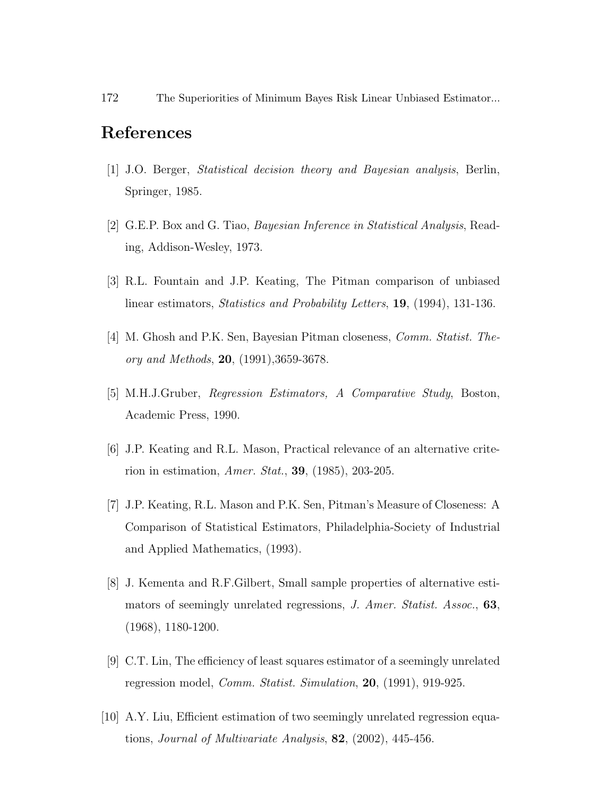#### References

- [1] J.O. Berger, Statistical decision theory and Bayesian analysis, Berlin, Springer, 1985.
- [2] G.E.P. Box and G. Tiao, Bayesian Inference in Statistical Analysis, Reading, Addison-Wesley, 1973.
- [3] R.L. Fountain and J.P. Keating, The Pitman comparison of unbiased linear estimators, Statistics and Probability Letters, 19, (1994), 131-136.
- [4] M. Ghosh and P.K. Sen, Bayesian Pitman closeness, Comm. Statist. Theory and Methods, 20, (1991),3659-3678.
- [5] M.H.J.Gruber, Regression Estimators, A Comparative Study, Boston, Academic Press, 1990.
- [6] J.P. Keating and R.L. Mason, Practical relevance of an alternative criterion in estimation, Amer. Stat., 39, (1985), 203-205.
- [7] J.P. Keating, R.L. Mason and P.K. Sen, Pitman's Measure of Closeness: A Comparison of Statistical Estimators, Philadelphia-Society of Industrial and Applied Mathematics, (1993).
- [8] J. Kementa and R.F.Gilbert, Small sample properties of alternative estimators of seemingly unrelated regressions, J. Amer. Statist. Assoc., 63, (1968), 1180-1200.
- [9] C.T. Lin, The efficiency of least squares estimator of a seemingly unrelated regression model, Comm. Statist. Simulation, 20, (1991), 919-925.
- [10] A.Y. Liu, Efficient estimation of two seemingly unrelated regression equations, *Journal of Multivariate Analysis*,  $82$ ,  $(2002)$ ,  $445-456$ .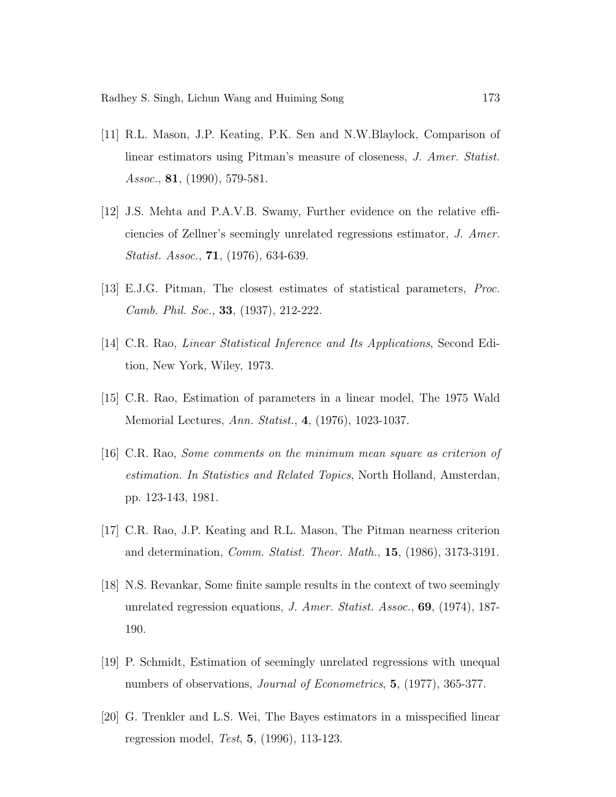- [11] R.L. Mason, J.P. Keating, P.K. Sen and N.W.Blaylock, Comparison of linear estimators using Pitman's measure of closeness, J. Amer. Statist. Assoc., 81, (1990), 579-581.
- [12] J.S. Mehta and P.A.V.B. Swamy, Further evidence on the relative efficiencies of Zellner's seemingly unrelated regressions estimator, J. Amer. Statist. Assoc., 71, (1976), 634-639.
- [13] E.J.G. Pitman, The closest estimates of statistical parameters, Proc. Camb. Phil. Soc., 33, (1937), 212-222.
- [14] C.R. Rao, Linear Statistical Inference and Its Applications, Second Edition, New York, Wiley, 1973.
- [15] C.R. Rao, Estimation of parameters in a linear model, The 1975 Wald Memorial Lectures, Ann. Statist., 4, (1976), 1023-1037.
- [16] C.R. Rao, Some comments on the minimum mean square as criterion of estimation. In Statistics and Related Topics, North Holland, Amsterdan, pp. 123-143, 1981.
- [17] C.R. Rao, J.P. Keating and R.L. Mason, The Pitman nearness criterion and determination, Comm. Statist. Theor. Math., 15, (1986), 3173-3191.
- [18] N.S. Revankar, Some finite sample results in the context of two seemingly unrelated regression equations, *J. Amer. Statist. Assoc.*, **69**, (1974), 187-190.
- [19] P. Schmidt, Estimation of seemingly unrelated regressions with unequal numbers of observations, *Journal of Econometrics*, **5**, (1977), 365-377.
- [20] G. Trenkler and L.S. Wei, The Bayes estimators in a misspecified linear regression model, Test, 5, (1996), 113-123.